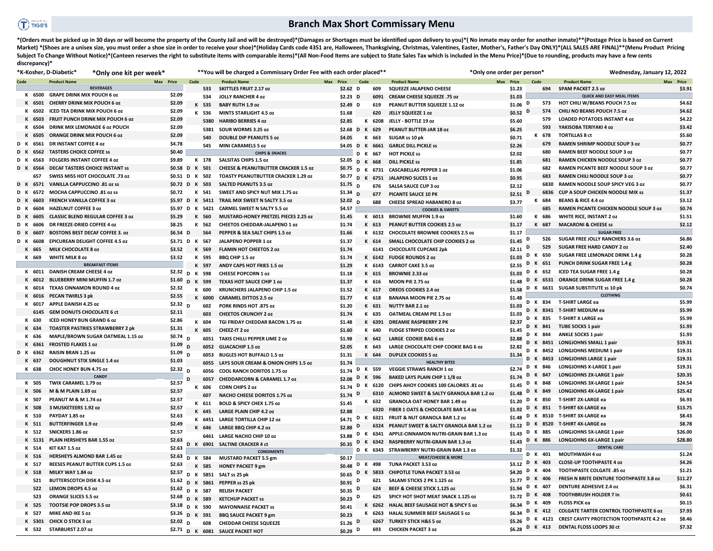## $\bigcap$  riggs

## **Branch Max Short Commissary Menu**

\*(Orders must be picked up in 30 days or will become the property of the County Jail and will be destroyed)\*(Damages or Shortages must be identified upon delivery to you)\*(No inmate may order for another inmate)\*\*(Postage Market) \*(Shoes are a unisex size, you must order a shoe size in order to receive your shoe)\*(Holiday Cards code 4351 are, Halloween, Thanksgiving, Christmas, Valentines, Easter, Mother's, Father's Day ONLY)\*(ALL SALES ARE Subject To Change Without Notice)\*(Canteen reserves the right to substitute items with comparable items)\*(All Non-Food Items are subject to State Sales Tax which is included in the Menu Price)\*(Due to rounding, products ma **discrepancy)\*** 

|                |           | *K-Kosher, D-Diabetic*<br>*Only one kit per week* | **You will be charged a Commissary Order Fee with each order placed** |      |                   |                                                 |           |                 | *Only one order per person* |              |                                              | Wednesday, January 12, 2022 |   |                 |                                                    |           |
|----------------|-----------|---------------------------------------------------|-----------------------------------------------------------------------|------|-------------------|-------------------------------------------------|-----------|-----------------|-----------------------------|--------------|----------------------------------------------|-----------------------------|---|-----------------|----------------------------------------------------|-----------|
| Code           |           | <b>Product Name</b>                               | Max Price                                                             | Code |                   | <b>Product Name</b>                             | Max Price |                 | Code                        |              | <b>Product Name</b>                          | Max Price                   |   | Code            | <b>Product Name</b>                                | Max Price |
|                |           | <b>BEVERAGES</b>                                  |                                                                       |      | 533               | <b>SKITTLES FRUIT 2.17 oz</b>                   |           | $$2.62$ D       |                             | 609          | SQUEEZE JALAPENO CHEESE                      | \$1.23                      |   | 694             | <b>SPAM PACKET 2.5 oz</b>                          | \$3.91    |
|                |           | K 6500 GRAPE DRINK MIX POUCH 6 oz                 | \$2.09                                                                |      | 534               | <b>JOLLY RANCHER 4 oz</b>                       |           | $$2.23$ D       |                             | 6091         | CREAM CHEESE SQUEEZE .75 oz                  | \$1.03                      |   |                 | <b>QUICK AND EASY MEAL ITEMS</b>                   |           |
|                |           | K 6501 CHERRY DRINK MIX POUCH 6 oz                | \$2.09                                                                |      | K 535             | <b>BABY RUTH 1.9 oz</b>                         |           | \$2.49 D        |                             | 619          | PEANUT BUTTER SQUEEZE 1.12 oz                | $$1.06$ D                   |   | 573             | <b>HOT CHILI W/BEANS POUCH 7.5 oz</b>              | \$4.62    |
|                | 6502      | <b>ICED TEA DRINK MIX POUCH 6 OZ</b>              | \$2.09                                                                |      | K 536             | <b>MINTS STARLIGHT 4.5 oz</b>                   |           | \$1.68          |                             | 620          | JELLY SQUEEZE 1 oz                           | $$0.52$ D                   |   | 574             | CHILI NO BEANS POUCH 7.5 oz                        | \$4.62    |
|                | 6503      | FRUIT PUNCH DRINK MIX POUCH 6 0Z                  | \$2.09                                                                |      | 5380              | <b>HARIBO BERRIES 4 oz</b>                      |           | \$2.85          |                             | K 6208       | JELLY - BOTTLE 19 oz                         | \$5.60                      |   | 579             | <b>LOADED POTATOES INSTANT 4 oz</b>                | \$4.22    |
|                | 6504      | DRINK MIX LEMONADE 6 oz POUCH                     | \$2.09                                                                |      | 5381              | SOUR WORMS 3.25 oz                              |           | \$2.68 D K 629  |                             |              | PEANUT BUTTER-JAR 18 oz                      | \$6.25                      |   | 593             | YAKISOBA TERIYAKI 4 oz                             | \$3.42    |
|                | 6505      | <b>ORANGE DRINK MIX POUCH 6 oz</b>                | \$2.09                                                                |      | 540               | <b>DOUBLE DIP PEANUTS 5 oz</b>                  |           | \$4.05          | K                           | 663          | SUGAR ss 10 pk                               | \$0.71                      |   | K 678           | <b>TORTILLAS 8 ct</b>                              | \$5.60    |
| D K            | 6561      | <b>DRINSTANT COFFEE 4 oz</b>                      | \$4.78                                                                |      | 545               | <b>MINI CARAMELS 5 oz</b>                       |           | \$4.05 D K 6661 |                             |              | <b>GARLIC DILL PICKLE SS</b>                 | \$2.26                      |   | 679             | <b>RAMEN SHRIMP NOODLE SOUP 3 oz</b>               | \$0.77    |
| D K            | 6562      | <b>TASTERS CHOICE COFFEE SS</b>                   | \$0.40                                                                |      |                   | <b>CHIPS &amp; SNACKS</b>                       |           |                 | D K                         | 667          | <b>HOT PICKLE SS</b>                         | \$2.02                      |   | 680             | RAMEN BEEF NOODLE SOUP 3 oz                        | \$0.77    |
| D K            | 6563      | <b>FOLGERS INSTANT COFFEE 4 oz</b>                | \$9.89                                                                |      | K 178             | <b>SALSITAS CHIPS 1.5 oz</b>                    |           | \$2.05 D K      |                             | 668          | <b>DILL PICKLE SS</b>                        | \$1.85                      |   | 681             | RAMEN CHICKEN NOODLE SOUP 3 02                     | \$0.77    |
| D K            | 6564      | <b>DECAF TASTERS CHOICE INSTANT SS</b>            | \$0.58 D K                                                            |      | 501               | <b>CHEESE &amp; PEANUTBUTTER CRACKER 1.5 oz</b> |           | \$0.75 D K      |                             |              | 6731 CASCABELLAS PEPPER 1 oz                 | \$1.06                      |   | 682             | RAMEN PICANTE BEEF NOODLE SOUP 3 oz                | \$0.77    |
|                | 657       | SWISS MISS HOT CHOCOLATE .73 oz                   | \$0.51 D K 502                                                        |      |                   | <b>TOASTY PEANUTBUTTER CRACKER 1.29 oz</b>      |           | \$0.77 $_D$     | $\mathbf{K}$                | 6751         | <b>JALAPENO SLICES 1 oz</b>                  | \$0.95                      |   | 683             | <b>RAMEN CHILI NOODLE SOUP 3 0Z</b>                | \$0.77    |
|                |           | D K 6571 VANILLA CAPPUCCINO .81 oz ss             | \$0.72 D K 503                                                        |      |                   | <b>SALTED PEANUTS 3.5 oz</b>                    |           | $$1.75$ D       |                             | 676          | <b>SALSA SAUCE CUP 3 oz</b>                  | \$2.12                      |   | 6830            | RAMEN NOODLE SOUP SPICY VEG 3 oz                   | \$0.77    |
| D              | 6572      | MOCHA CAPPUCCINO .81 oz ss                        | \$0.72                                                                | к    | 541               | SWEET AND SPICY NUT MIX 1.75 oz                 |           | $$1.34$ D       |                             | 677          | PICANTE SAUCE 10 PK                          | \$2.51 $D$                  |   | 6836            | <b>CUP A SOUP CHICKEN NOODLE MIX SS</b>            | \$1.37    |
| D <sub>K</sub> | 6603      | <b>FRENCH VANILLA COFFEE 3 oz</b>                 |                                                                       |      | \$5.97 D K 5411   | TRAIL MIX SWEET N SALTY 3.5 oz                  |           | \$2.02 $D$      |                             | 688          | <b>CHEESE SPREAD HABANERO 8 oz</b>           | \$3.77                      |   | K 684           | <b>BEANS &amp; RICE 4.4 oz</b>                     | \$3.12    |
| D K            | 6604      | <b>HAZELNUT COFFEE 3 oz</b>                       |                                                                       |      | \$5.97 D K 5421   | <b>CARMEL SWEET N SALTY 5.5 oz</b>              |           | \$4.57          |                             |              | <b>COOKIES &amp; SWEETS</b>                  |                             |   | 685             | <b>RAMEN PICANTE CHICKEN NOODLE SOUP 3 0Z</b>      | \$0.74    |
| D.             | 6605      | <b>CLASSIC BLEND REGULAR COFFEE 3 oz</b>          | \$5.29                                                                |      | K 560             | <b>MUSTARD-HONEY PRETZEL PIECES 2.25 oz</b>     |           | \$1.45          |                             | K 6013       | <b>BROWNIE MUFFIN 1.9 oz</b>                 | \$1.60                      |   | K 686           | <b>WHITE RICE, INSTANT 2 oz</b>                    | \$1.51    |
| D K            | 6606      | DR FREEZE-DRIED COFFEE 4 oz                       | \$8.25                                                                |      | K 562             | <b>CHEETOS CHEDDAR-JALAPENO 1 oz</b>            |           | \$1.74          |                             | K 613        | PEANUT BUTTER COOKIES 2.5 oz                 | \$1.17                      |   | K 687           | <b>MACARONI &amp; CHEESE SS</b>                    | \$2.12    |
| D              | 6607      | <b>BOSTONS BEST DECAF COFFEE 3. oz</b>            | \$6.54 D                                                              |      | 564               | PEPPER & SEA SALT CHIPS 1.5 oz                  |           | \$1.66          |                             | K 6132       | <b>CHOCOLATE BROWNIE COOKIES 2.5 oz</b>      | \$1.17                      |   |                 | <b>SUGAR FREE</b>                                  |           |
|                | 6608      | EPICUREAN DELIGHT COFFEE 4.5 oz                   | \$3.71 D K 567                                                        |      |                   | <b>JALAPENO POPPER 1 oz</b>                     |           | \$1.37          |                             | K 614        | SMALL CHOCOLATE CHIP COOKIES 2 oz            | $$1.45$ D                   |   | 526             | <b>SUGAR FREE JOLLY RANCHERS 3.6 oz</b>            | \$6.86    |
|                | 665       | <b>MILK CHOCOLATE 8 oz</b>                        | \$3.52                                                                |      | K 569             | <b>FLAMIN HOT CHEETOS 2 oz</b>                  |           | \$1.74          |                             | 6141         | <b>CHOCOLATE CUPCAKE 2pk</b>                 | \$2.11                      | D | 529             | <b>SUGAR FREE HARD CANDY 2 oz</b>                  | \$2.40    |
|                | K 669     | <b>WHITE MILK 8 oz</b>                            | \$3.52                                                                |      | K 595             | BBQ CHIP 1.5 oz                                 |           | \$1.74          |                             |              | K 6142 FUDGE ROUNDS 2 oz                     | \$1.03                      |   | D K 650         | SUGAR FREE LEMONADE DRINK 1.4 g                    | \$0.28    |
|                |           | <b>BREAKFAST ITEMS</b>                            |                                                                       |      | K 597             | ANDY CAPS HOT FRIES 1.5 oz                      |           | \$1.29          |                             | K 6143       | <b>CARROT CAKE 3.5 oz</b>                    | \$2.55                      | D | K 651           | PUNCH DRINK SUGAR FREE 1.4 g                       | \$0.28    |
|                |           | K 6011 DANISH CREAM CHEESE 4 oz                   | \$2.32 D K 598                                                        |      |                   | <b>CHEESE POPCORN 1 oz</b>                      |           | \$1.18          |                             | K 615        | <b>BROWNIE 2.33 oz</b>                       | \$1.03                      | D | K 652           | <b>ICED TEA SUGAR FREE 1.4 g</b>                   | \$0.28    |
|                | K<br>6012 | <b>BLUEBERRY MINI MUFFIN 1.7 oz</b>               | \$1.60 D K 599                                                        |      |                   | TEXAS HOT SAUCE CHIP 1 oz                       |           | \$1.37          |                             | K 616        | MOON PIE 2.75 oz                             | \$1.48                      |   |                 | D K 6531 ORANGE DRINK SUGAR FREE 1.4 g             | \$0.28    |
|                |           | 6014 TEXAS CINNAMON ROUND 4 oz                    | \$2.32                                                                |      | K 600             | <b>KRUNCHERS JALAPENO CHIP 1.5 oz</b>           |           | \$1.52          |                             | K 617        | OREOS COOKIES 2.4 oz                         | \$1.58                      |   |                 | D K 6631 SUGAR SUBSTITUTE ss 10 pk                 | \$0.74    |
|                | K 6016    | PECAN TWIRLS 3 pk                                 | \$2.55                                                                |      | K 6000            | <b>CARAMEL DITTOS 2.5 oz</b>                    |           | \$1.77          |                             | K 618        | <b>BANANA MOON PIE 2.75 oz</b>               | \$1.48                      |   |                 | <b>CLOTHING</b>                                    |           |
|                | K 6017    | <b>APPLE DANISH 4.25 oz</b>                       | $$2.32$ D                                                             |      | 602               | PORK RINDS HOT .875 oz                          |           | \$1.20          |                             | K 631        | <b>NUTTY BAR 2.1 oz</b>                      | \$1.03                      |   |                 | D K 834 T-SHIRT LARGE ea                           | \$5.99    |
|                | 6145      | <b>GEM DONUTS CHOCOLATE 6 ct</b>                  | \$2.11                                                                |      | 603               | <b>CHEETOS CRUNCHY 2 oz</b>                     |           | \$1.74          |                             | K 635        | <b>OATMEAL CREAM PIE 1.3 oz</b>              | \$1.03                      |   |                 | D K 8341 T-SHIRT MEDIUM ea                         | \$5.99    |
|                | K 630     | <b>ICED HONEY BUN GRAND 6 oz</b>                  | \$2.86                                                                |      | K 604             | TGI FRIDAY CHEDDAR BACON 1.75 oz                |           | \$1.48          |                             | K 6391       | <b>DREAMIE RASPBERRY 2 PK</b>                | \$2.37                      |   | D K 835         | <b>T-SHIRT X LARGE ea</b>                          | \$5.99    |
|                | K 634     | <b>TOASTER PASTRIES STRAWBERRY 2 pk</b>           | \$1.31                                                                | K    | 605               | CHEEZ-IT 2 oz                                   |           | \$1.60          |                             | <b>K 640</b> | <b>FUDGE STRIPED COOKIES 2 oz</b>            | \$1.45                      |   | D K 841         | <b>TUBE SOCKS 1 pair</b>                           | \$1.93    |
|                | 636       | MAPLE/BROWN SUGAR OATMEAL 1.15 oz                 | $$0.74$ D                                                             |      | 6051              | TAKIS CHILLI PEPPER LIME 2 oz                   |           | \$1.98          |                             | K 642        | <b>LARGE COOKIE BAG 6 oz</b>                 | \$2.88                      |   | D K 844         | <b>ANKLE SOCKS 1 pair</b>                          | \$1.93    |
|                | K 6361    | <b>FROSTED FLAKES 1 oz</b>                        | \$1.09                                                                |      | 6052              | <b>GUACACHIP 1.5 oz</b>                         |           | \$2.05          |                             | K 643        | LARGE CHOCOLATE CHIP COOKIE BAG 6 oz         | \$2.82                      |   |                 | D K 8451 LONGJOHNS SMALL 1 pair                    | \$19.31   |
| D K            | 6362      | RAISIN BRAN 1.25 oz                               | \$1.09                                                                | D    | 6053              | <b>BUGLES HOT BUFFALO 1.5 oz</b>                |           | \$1.31          |                             | K 644        | <b>DUPLEX COOKIES 5 oz</b>                   | \$1.34                      |   |                 | D K 8452 LONGJOHNS MEDIUM 1 pair                   | \$19.31   |
|                | 637       | <b>DOUGHNUT STIX SINGLE 1.4 oz</b>                | \$1.03                                                                |      | 6055              | LAYS SOUR CREAM & ONION CHIPS 1.5 oz            |           | \$1.74          |                             |              | <b>HEALTHY BITES</b>                         |                             | D |                 | K 8453 LONGJOHNS LARGE 1 pair                      | \$19.31   |
|                | K 638     | CHOC HONEY BUN 4.75 oz                            | $$2.32$ D                                                             |      | 6056              | COOL RANCH DORITOS 1.75 oz                      |           | $$1.74$ D       |                             | K 559        | <b>VEGGIE STRAWS RANCH 1 oz</b>              | \$2.74                      |   | D K 846         | <b>LONGJOHNS X-LARGE 1 pair</b>                    | \$19.31   |
|                |           | CANDY                                             |                                                                       | D    | 6057              | <b>CHEDDARCORN &amp; CARAMEL 1.7 oz</b>         |           | \$2.08          | K<br>D                      | 596          | <b>BAKED LAYS PLAIN CHIP 1 1/8 oz</b>        | \$1.74                      | D | K 847           | <b>LONGJOHNS 2X-LARGE 1 pair</b>                   | \$20.35   |
|                | K 505     | TWIX CARAMEL 1.79 oz                              | \$2.57                                                                |      | K 606             | <b>CORN CHIPS 2 oz</b>                          |           | \$1.74          | D                           | K 6120       | CHIPS AHOY COOKIES 100 CALORIES .81 oz       | \$1.45                      | D | K 848           | LONGJOHNS 3X-LARGE 1 pair                          | \$24.54   |
|                | K 506     | M & M PLAIN 1.69 oz                               | \$2.57                                                                |      | 607               | NACHO CHEESE DORITOS 1.75 oz                    |           | \$1.74          |                             | 6310         | ALMOND SWEET & SALTY GRANOLA BAR 1.2 oz      | \$1.48                      |   | D K 849         | LONGJOHNS 4X-LARGE 1 pair                          | \$25.42   |
|                | 507       | PEANUT M & M 1.74 oz                              | \$2.57                                                                |      | K 611             | BOLD & SPICY CHEX 1.75 oz                       |           | \$1.45          |                             | K 632        | <b>GRANOLA OAT HONEY BAR 1.49 oz</b>         | \$1.20                      | D | K 850           | T-SHIRT 2X-LARGE ea                                | \$6.93    |
|                | K 508     | 3 MUSKETEERS 1.92 oz                              | \$2.57                                                                |      | K 645             | <b>LARGE PLAIN CHIP 4.2 oz</b>                  |           | \$2.88          |                             |              | 6320 FIBER 1 OATS & CHOCOLATE BAR 1.4 oz     | \$1.92                      |   |                 | D K 851 T-SHIRT 6X-LARGE ea                        | \$13.75   |
|                |           | PAYDAY 1.85 oz                                    | \$2.63                                                                |      | K 6451            | <b>LARGE TORTILLA CHIP 12 oz</b>                |           | \$4.71          | D<br>K                      | 6321         | <b>FRUIT &amp; NUT GRANOLA BAR 1.2 oz</b>    | \$1.48                      |   |                 | D K 8510 T-SHIRT 3X-LARGE ea                       | \$8.43    |
|                | K 511     | <b>BUTTERFINGER 1.9 oz</b>                        | \$2.49                                                                |      | K 646             | LARGE BBQ CHIP 4.2 oz                           |           | \$2.88          | D                           | 6324         | PEANUT SWEET & SALTY GRANOLA BAR 1.2 oz      | \$1.12                      |   |                 | D K 8520 T-SHIRT 4X-LARGE ea                       | \$8.78    |
|                | K 512     | SNICKERS 1.86 oz                                  | \$2.57                                                                |      | 6461              | <b>LARGE NACHO CHIP 10 oz</b>                   |           | \$3.88          | D                           |              | 6341 APPLE-CINNAMON NUTRI-GRAIN BAR 1.3 oz   | \$1.43                      | D | K 885           | LONGJOHNS 5X-LARGE 1 pair                          | \$26.00   |
|                | K 5131    | PLAIN HERSHEYS BAR 1.55 oz                        | \$2.63                                                                |      | D K 6901          | <b>SALTINE CRACKER 4 ct</b>                     |           | \$0.35          | D<br>K                      | 6342         | RASPBERRY NUTRI-GRAIN BAR 1.3 oz             | \$1.43                      |   | D K 886         | LONGJOHNS 6X-LARGE 1 pair                          | \$28.80   |
|                | 514       | KIT KAT 1.5 oz                                    | \$2.63                                                                |      |                   | <b>CONDIMENTS</b>                               |           |                 |                             |              | D K 6343 STRAWBERRY NUTRI-GRAIN BAR 1.3 oz   | \$1.32                      |   |                 | <b>DENTAL CARE</b>                                 |           |
|                | K 516     | HERSHEYS ALMOND BAR 1.45 oz                       | \$2.63 $\overline{D}$ K                                               |      | 584               | <b>MUSTARD PACKET 5.5 gm</b>                    |           | \$0.17          |                             |              | <b>MEAT/CHEESE &amp; MORE</b>                |                             |   | D K 401         | <b>MOUTHWASH 4 oz</b>                              | \$1.24    |
|                | K 517     | <b>REESES PEANUT BUTTER CUPS 1.5 oz</b>           | \$2.63                                                                | K    | 585               | <b>HONEY PACKET 9 gm</b>                        |           | \$0.48 D        | K                           | 498          | TUNA PACKET 3.53 oz                          |                             |   | $$3.12$ D K 403 | <b>CLOSE-UP TOOTHPASTE 4 oz</b>                    | \$4.26    |
|                | K 518     | MILKY WAY 1.84 oz                                 | \$2.57                                                                |      | D K 5851          | SALT ss 25 pk                                   |           |                 |                             |              | \$0.65 D K 5833 CHIPOTLE TUNA PACKET 3.53 oz | \$4.20                      | D | K 404           | <b>TOOTHPASTE COLGATE .85 oz</b>                   | \$1.21    |
|                | 521       | <b>BUTTERSCOTCH DISK 4.5 oz</b>                   |                                                                       |      | \$1.62 $D K 5861$ | PEPPER ss 25 pk                                 |           | $$0.91$ D       |                             | 621          | SALAMI STICKS 2 PK 1.125 oz                  | \$1.77                      |   | D K 406         | FRESH N BRITE DENTURE TOOTHPASTE 3.8 oz            | \$11.27   |
|                | 522       | <b>LEMON DROPS 4.5 oz</b>                         | \$1.62 D K 587                                                        |      |                   | <b>RELISH PACKET</b>                            |           | $$0.35$ D       |                             | 624          | BEEF & CHEESE STICK 1.125 oz                 | \$1.94                      |   | D K 407         | <b>DENTURE ADHESIVE 2.4 oz</b>                     | \$6.31    |
|                | 523       | <b>ORANGE SLICES 5.5 oz</b>                       | \$2.68 D K 589                                                        |      |                   | <b>KETCHUP PACKET SS</b>                        |           | $$0.23$ D       |                             | 625          | SPICY HOT SHOT MEAT SNACK 1.125 oz           | \$1.72                      |   | D K 408         | <b>TOOTHBRUSH HOLDER 7 in</b>                      | \$0.61    |
|                | K 525     | <b>TOOTSIE POP DROPS 3.5 oz</b>                   | \$3.18 D K 590                                                        |      |                   | <b>MAYONNAISE PACKET SS</b>                     |           | \$0.41          |                             |              | K 6262 HALAL BEEF SAUSAGE HOT & SPICY 5 oz   | \$6.34                      |   | D K 409         | <b>FLOSS PICK ea</b>                               | \$0.15    |
|                | K 527     | <b>MIKE AND IKE 5 oz</b>                          | \$3.26 D K 591                                                        |      |                   | <b>BBQ SAUCE PACKET 9 gm</b>                    |           | \$0.23          |                             |              | K 6263 HALAL SUMMER BEEF SAUSAGE 5 oz        | \$6.34                      |   | D K 412         | <b>COLGATE TARTER CONTROL TOOTHPASTE 6 oz</b>      | \$7.93    |
|                |           | K 5301 CHICK O STICK 3 oz                         | \$2.02 $_D$                                                           |      | 608               | <b>CHEDDAR CHEESE SQUEEZE</b>                   |           | \$1.26          |                             |              | 6267 TURKEY STICK H&S 5 oz                   | \$5.26                      |   |                 | D K 4121 CREST CAVITY PROTECTION TOOTHPASTE 4.2 oz | \$8.46    |
|                |           | K 532 STARBURST 2.07 oz                           |                                                                       |      |                   | \$2.71 D K 6081 SAUCE PACKET HOT                |           | \$0.29 D        |                             | 693          | <b>CHICKEN PACKET 3 oz</b>                   | \$6.28                      |   |                 | D K 413 DENTAL FLOSS LOOPS 30 ct                   | \$7.32    |
|                |           |                                                   |                                                                       |      |                   |                                                 |           |                 |                             |              |                                              |                             |   |                 |                                                    |           |